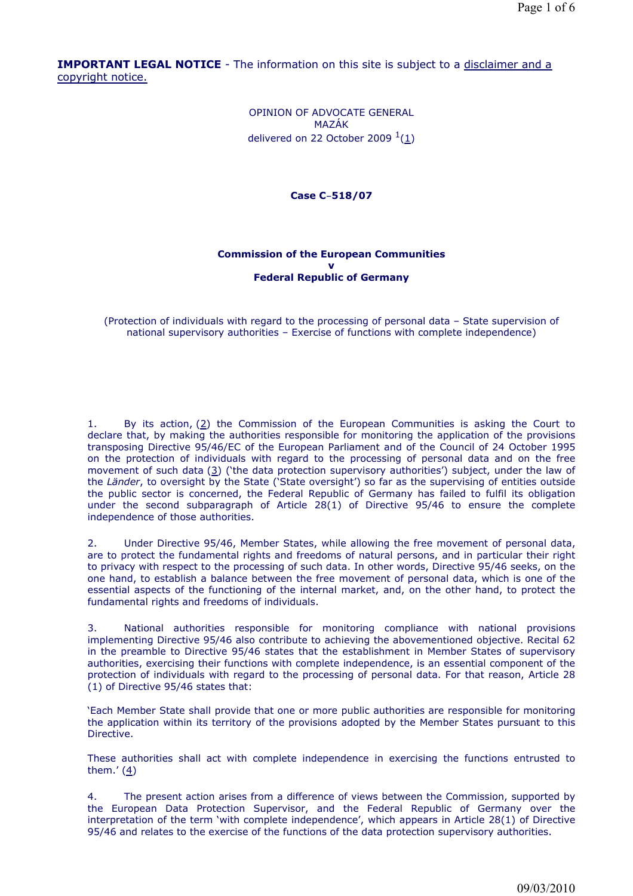**IMPORTANT LEGAL NOTICE** - The information on this site is subject to a disclaimer and a copyright notice.

> OPINION OF ADVOCATE GENERAL MAZÁK delivered on 22 October 2009  $1(1)$

> > **Case C**-**518/07**

# **Commission of the European Communities v Federal Republic of Germany**

(Protection of individuals with regard to the processing of personal data – State supervision of national supervisory authorities – Exercise of functions with complete independence)

1. By its action,  $(2)$  the Commission of the European Communities is asking the Court to declare that, by making the authorities responsible for monitoring the application of the provisions transposing Directive 95/46/EC of the European Parliament and of the Council of 24 October 1995 on the protection of individuals with regard to the processing of personal data and on the free movement of such data (3) ('the data protection supervisory authorities') subject, under the law of the *Länder*, to oversight by the State ('State oversight') so far as the supervising of entities outside the public sector is concerned, the Federal Republic of Germany has failed to fulfil its obligation under the second subparagraph of Article 28(1) of Directive 95/46 to ensure the complete independence of those authorities.

2. Under Directive 95/46, Member States, while allowing the free movement of personal data, are to protect the fundamental rights and freedoms of natural persons, and in particular their right to privacy with respect to the processing of such data. In other words, Directive 95/46 seeks, on the one hand, to establish a balance between the free movement of personal data, which is one of the essential aspects of the functioning of the internal market, and, on the other hand, to protect the fundamental rights and freedoms of individuals.

3. National authorities responsible for monitoring compliance with national provisions implementing Directive 95/46 also contribute to achieving the abovementioned objective. Recital 62 in the preamble to Directive 95/46 states that the establishment in Member States of supervisory authorities, exercising their functions with complete independence, is an essential component of the protection of individuals with regard to the processing of personal data. For that reason, Article 28 (1) of Directive 95/46 states that:

'Each Member State shall provide that one or more public authorities are responsible for monitoring the application within its territory of the provisions adopted by the Member States pursuant to this Directive.

These authorities shall act with complete independence in exercising the functions entrusted to them.' (4)

4. The present action arises from a difference of views between the Commission, supported by the European Data Protection Supervisor, and the Federal Republic of Germany over the interpretation of the term 'with complete independence', which appears in Article 28(1) of Directive 95/46 and relates to the exercise of the functions of the data protection supervisory authorities.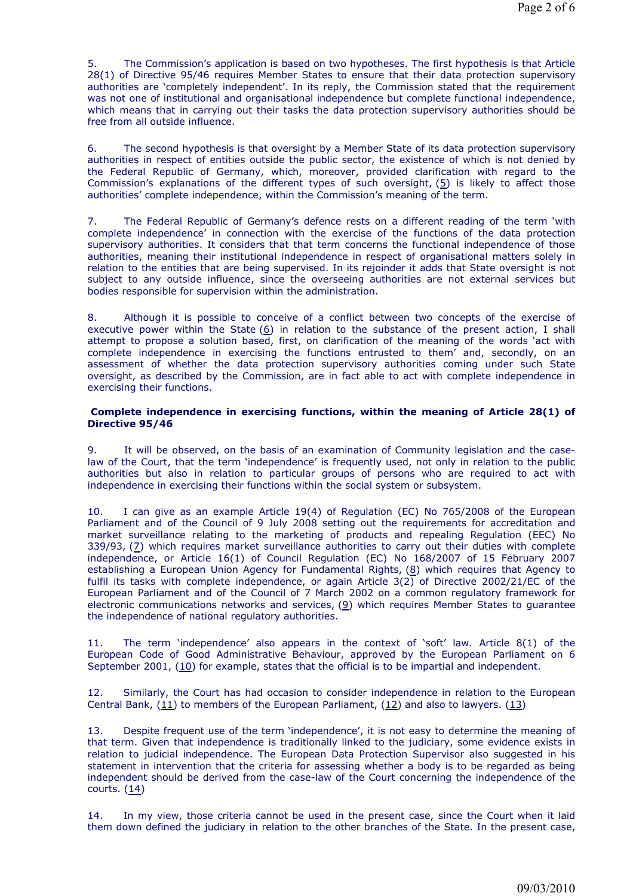5. The Commission's application is based on two hypotheses. The first hypothesis is that Article 28(1) of Directive 95/46 requires Member States to ensure that their data protection supervisory authorities are 'completely independent'. In its reply, the Commission stated that the requirement was not one of institutional and organisational independence but complete functional independence, which means that in carrying out their tasks the data protection supervisory authorities should be free from all outside influence.

6. The second hypothesis is that oversight by a Member State of its data protection supervisory authorities in respect of entities outside the public sector, the existence of which is not denied by the Federal Republic of Germany, which, moreover, provided clarification with regard to the Commission's explanations of the different types of such oversight,  $(5)$  is likely to affect those authorities' complete independence, within the Commission's meaning of the term.

7. The Federal Republic of Germany's defence rests on a different reading of the term 'with complete independence' in connection with the exercise of the functions of the data protection supervisory authorities. It considers that that term concerns the functional independence of those authorities, meaning their institutional independence in respect of organisational matters solely in relation to the entities that are being supervised. In its rejoinder it adds that State oversight is not subject to any outside influence, since the overseeing authorities are not external services but bodies responsible for supervision within the administration.

8. Although it is possible to conceive of a conflict between two concepts of the exercise of executive power within the State  $(6)$  in relation to the substance of the present action, I shall attempt to propose a solution based, first, on clarification of the meaning of the words 'act with complete independence in exercising the functions entrusted to them' and, secondly, on an assessment of whether the data protection supervisory authorities coming under such State oversight, as described by the Commission, are in fact able to act with complete independence in exercising their functions.

#### **Complete independence in exercising functions, within the meaning of Article 28(1) of Directive 95/46**

9. It will be observed, on the basis of an examination of Community legislation and the caselaw of the Court, that the term 'independence' is frequently used, not only in relation to the public authorities but also in relation to particular groups of persons who are required to act with independence in exercising their functions within the social system or subsystem.

10. I can give as an example Article 19(4) of Regulation (EC) No 765/2008 of the European Parliament and of the Council of 9 July 2008 setting out the requirements for accreditation and market surveillance relating to the marketing of products and repealing Regulation (EEC) No 339/93, (7) which requires market surveillance authorities to carry out their duties with complete independence, or Article 16(1) of Council Regulation (EC) No 168/2007 of 15 February 2007 establishing a European Union Agency for Fundamental Rights, (8) which requires that Agency to fulfil its tasks with complete independence, or again Article 3(2) of Directive 2002/21/EC of the European Parliament and of the Council of 7 March 2002 on a common regulatory framework for electronic communications networks and services, (9) which requires Member States to guarantee the independence of national regulatory authorities.

11. The term 'independence' also appears in the context of 'soft' law. Article 8(1) of the European Code of Good Administrative Behaviour, approved by the European Parliament on 6 September 2001, (10) for example, states that the official is to be impartial and independent.

12. Similarly, the Court has had occasion to consider independence in relation to the European Central Bank,  $(11)$  to members of the European Parliament,  $(12)$  and also to lawyers.  $(13)$ 

13. Despite frequent use of the term 'independence', it is not easy to determine the meaning of that term. Given that independence is traditionally linked to the judiciary, some evidence exists in relation to judicial independence. The European Data Protection Supervisor also suggested in his statement in intervention that the criteria for assessing whether a body is to be regarded as being independent should be derived from the case-law of the Court concerning the independence of the courts. (14)

14. In my view, those criteria cannot be used in the present case, since the Court when it laid them down defined the judiciary in relation to the other branches of the State. In the present case,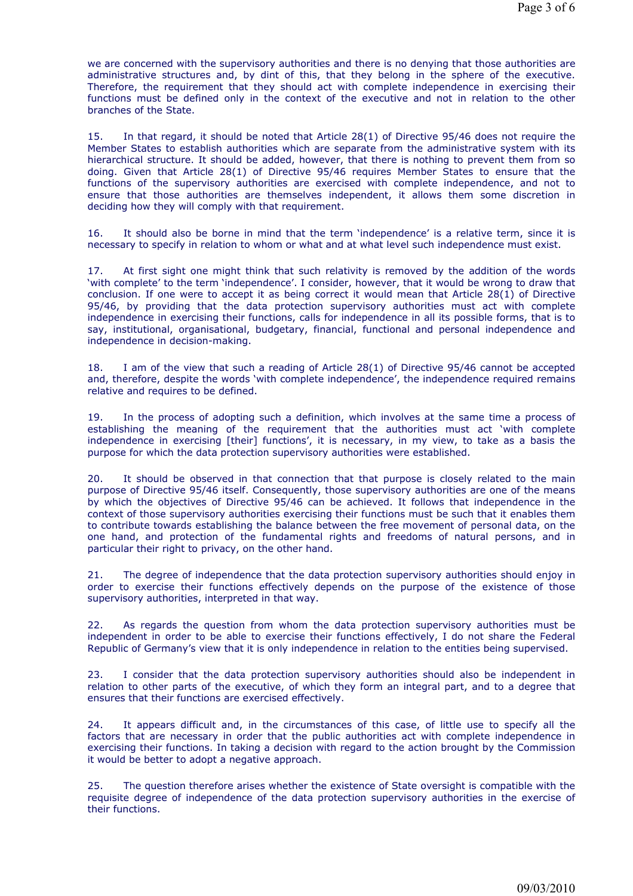we are concerned with the supervisory authorities and there is no denying that those authorities are administrative structures and, by dint of this, that they belong in the sphere of the executive. Therefore, the requirement that they should act with complete independence in exercising their functions must be defined only in the context of the executive and not in relation to the other branches of the State.

15. In that regard, it should be noted that Article 28(1) of Directive 95/46 does not require the Member States to establish authorities which are separate from the administrative system with its hierarchical structure. It should be added, however, that there is nothing to prevent them from so doing. Given that Article 28(1) of Directive 95/46 requires Member States to ensure that the functions of the supervisory authorities are exercised with complete independence, and not to ensure that those authorities are themselves independent, it allows them some discretion in deciding how they will comply with that requirement.

16. It should also be borne in mind that the term 'independence' is a relative term, since it is necessary to specify in relation to whom or what and at what level such independence must exist.

17. At first sight one might think that such relativity is removed by the addition of the words 'with complete' to the term 'independence'. I consider, however, that it would be wrong to draw that conclusion. If one were to accept it as being correct it would mean that Article  $28(1)$  of Directive 95/46, by providing that the data protection supervisory authorities must act with complete independence in exercising their functions, calls for independence in all its possible forms, that is to say, institutional, organisational, budgetary, financial, functional and personal independence and independence in decision-making.

18. I am of the view that such a reading of Article 28(1) of Directive 95/46 cannot be accepted and, therefore, despite the words 'with complete independence', the independence required remains relative and requires to be defined.

19. In the process of adopting such a definition, which involves at the same time a process of establishing the meaning of the requirement that the authorities must act 'with complete independence in exercising [their] functions', it is necessary, in my view, to take as a basis the purpose for which the data protection supervisory authorities were established.

20. It should be observed in that connection that that purpose is closely related to the main purpose of Directive 95/46 itself. Consequently, those supervisory authorities are one of the means by which the objectives of Directive 95/46 can be achieved. It follows that independence in the context of those supervisory authorities exercising their functions must be such that it enables them to contribute towards establishing the balance between the free movement of personal data, on the one hand, and protection of the fundamental rights and freedoms of natural persons, and in particular their right to privacy, on the other hand.

21. The degree of independence that the data protection supervisory authorities should enjoy in order to exercise their functions effectively depends on the purpose of the existence of those supervisory authorities, interpreted in that way.

22. As regards the question from whom the data protection supervisory authorities must be independent in order to be able to exercise their functions effectively, I do not share the Federal Republic of Germany's view that it is only independence in relation to the entities being supervised.

23. I consider that the data protection supervisory authorities should also be independent in relation to other parts of the executive, of which they form an integral part, and to a degree that ensures that their functions are exercised effectively.

24. It appears difficult and, in the circumstances of this case, of little use to specify all the factors that are necessary in order that the public authorities act with complete independence in exercising their functions. In taking a decision with regard to the action brought by the Commission it would be better to adopt a negative approach.

25. The question therefore arises whether the existence of State oversight is compatible with the requisite degree of independence of the data protection supervisory authorities in the exercise of their functions.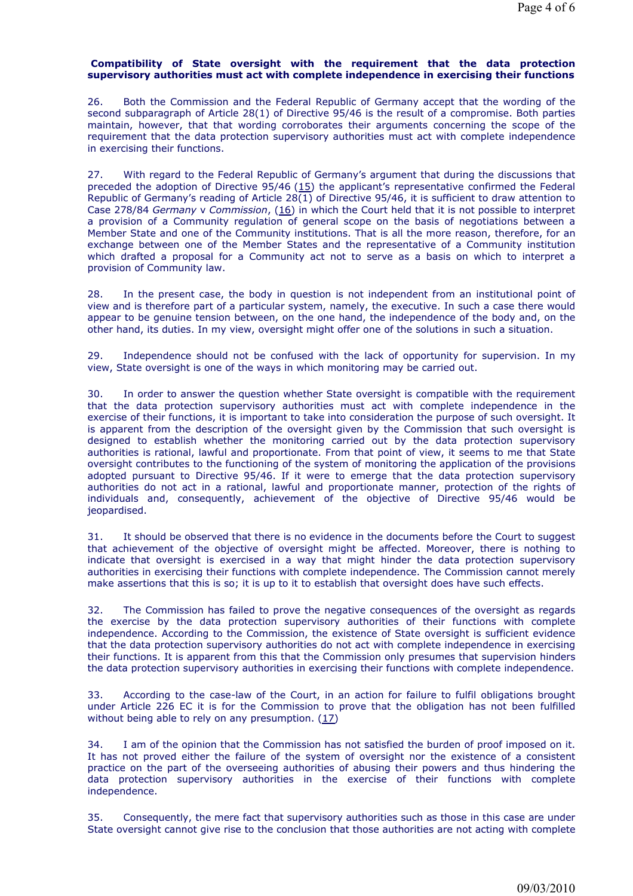# **Compatibility of State oversight with the requirement that the data protection supervisory authorities must act with complete independence in exercising their functions**

26. Both the Commission and the Federal Republic of Germany accept that the wording of the second subparagraph of Article 28(1) of Directive 95/46 is the result of a compromise. Both parties maintain, however, that that wording corroborates their arguments concerning the scope of the requirement that the data protection supervisory authorities must act with complete independence in exercising their functions.

27. With regard to the Federal Republic of Germany's argument that during the discussions that preceded the adoption of Directive 95/46 (15) the applicant's representative confirmed the Federal Republic of Germany's reading of Article 28(1) of Directive 95/46, it is sufficient to draw attention to Case 278/84 *Germany* v *Commission*, (16) in which the Court held that it is not possible to interpret a provision of a Community regulation of general scope on the basis of negotiations between a Member State and one of the Community institutions. That is all the more reason, therefore, for an exchange between one of the Member States and the representative of a Community institution which drafted a proposal for a Community act not to serve as a basis on which to interpret a provision of Community law.

28. In the present case, the body in question is not independent from an institutional point of view and is therefore part of a particular system, namely, the executive. In such a case there would appear to be genuine tension between, on the one hand, the independence of the body and, on the other hand, its duties. In my view, oversight might offer one of the solutions in such a situation.

29. Independence should not be confused with the lack of opportunity for supervision. In my view, State oversight is one of the ways in which monitoring may be carried out.

30. In order to answer the question whether State oversight is compatible with the requirement that the data protection supervisory authorities must act with complete independence in the exercise of their functions, it is important to take into consideration the purpose of such oversight. It is apparent from the description of the oversight given by the Commission that such oversight is designed to establish whether the monitoring carried out by the data protection supervisory authorities is rational, lawful and proportionate. From that point of view, it seems to me that State oversight contributes to the functioning of the system of monitoring the application of the provisions adopted pursuant to Directive 95/46. If it were to emerge that the data protection supervisory authorities do not act in a rational, lawful and proportionate manner, protection of the rights of individuals and, consequently, achievement of the objective of Directive 95/46 would be jeopardised.

31. It should be observed that there is no evidence in the documents before the Court to suggest that achievement of the objective of oversight might be affected. Moreover, there is nothing to indicate that oversight is exercised in a way that might hinder the data protection supervisory authorities in exercising their functions with complete independence. The Commission cannot merely make assertions that this is so; it is up to it to establish that oversight does have such effects.

32. The Commission has failed to prove the negative consequences of the oversight as regards the exercise by the data protection supervisory authorities of their functions with complete independence. According to the Commission, the existence of State oversight is sufficient evidence that the data protection supervisory authorities do not act with complete independence in exercising their functions. It is apparent from this that the Commission only presumes that supervision hinders the data protection supervisory authorities in exercising their functions with complete independence.

33. According to the case-law of the Court, in an action for failure to fulfil obligations brought under Article 226 EC it is for the Commission to prove that the obligation has not been fulfilled without being able to rely on any presumption. (17)

34. I am of the opinion that the Commission has not satisfied the burden of proof imposed on it. It has not proved either the failure of the system of oversight nor the existence of a consistent practice on the part of the overseeing authorities of abusing their powers and thus hindering the data protection supervisory authorities in the exercise of their functions with complete independence.

35. Consequently, the mere fact that supervisory authorities such as those in this case are under State oversight cannot give rise to the conclusion that those authorities are not acting with complete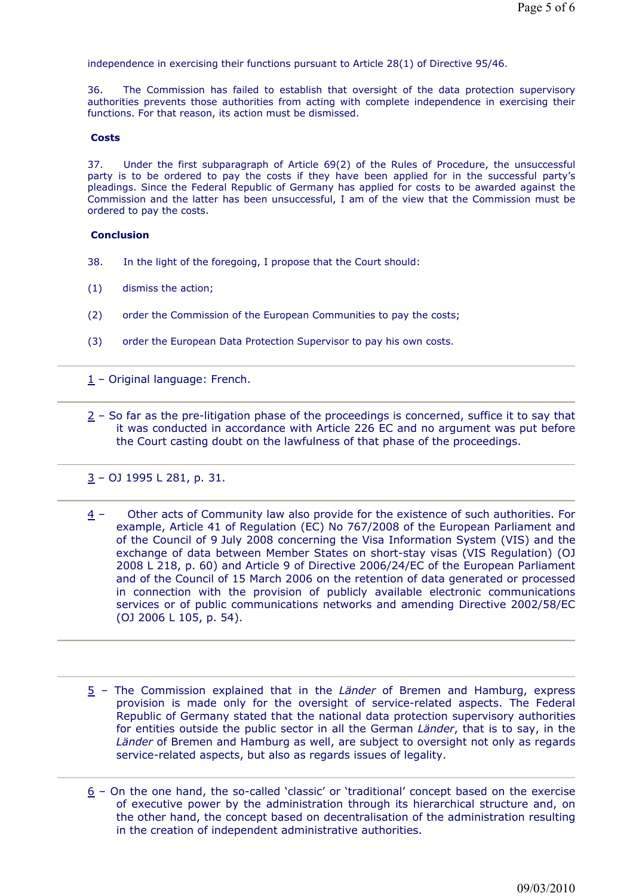independence in exercising their functions pursuant to Article 28(1) of Directive 95/46.

36. The Commission has failed to establish that oversight of the data protection supervisory authorities prevents those authorities from acting with complete independence in exercising their functions. For that reason, its action must be dismissed.

#### **Costs**

37. Under the first subparagraph of Article 69(2) of the Rules of Procedure, the unsuccessful party is to be ordered to pay the costs if they have been applied for in the successful party's pleadings. Since the Federal Republic of Germany has applied for costs to be awarded against the Commission and the latter has been unsuccessful, I am of the view that the Commission must be ordered to pay the costs.

### **Conclusion**

- 38. In the light of the foregoing, I propose that the Court should:
- (1) dismiss the action;
- (2) order the Commission of the European Communities to pay the costs;
- (3) order the European Data Protection Supervisor to pay his own costs.

1 – Original language: French.

 $2$  – So far as the pre-litigation phase of the proceedings is concerned, suffice it to say that it was conducted in accordance with Article 226 EC and no argument was put before the Court casting doubt on the lawfulness of that phase of the proceedings.

3 – OJ 1995 L 281, p. 31.

- $4 -$  Other acts of Community law also provide for the existence of such authorities. For example, Article 41 of Regulation (EC) No 767/2008 of the European Parliament and of the Council of 9 July 2008 concerning the Visa Information System (VIS) and the exchange of data between Member States on short-stay visas (VIS Regulation) (OJ 2008 L 218, p. 60) and Article 9 of Directive 2006/24/EC of the European Parliament and of the Council of 15 March 2006 on the retention of data generated or processed in connection with the provision of publicly available electronic communications services or of public communications networks and amending Directive 2002/58/EC (OJ 2006 L 105, p. 54).
- 5 The Commission explained that in the *Länder* of Bremen and Hamburg, express provision is made only for the oversight of service-related aspects. The Federal Republic of Germany stated that the national data protection supervisory authorities for entities outside the public sector in all the German *Länder*, that is to say, in the *Länder* of Bremen and Hamburg as well, are subject to oversight not only as regards service-related aspects, but also as regards issues of legality.
- 6 On the one hand, the so-called 'classic' or 'traditional' concept based on the exercise of executive power by the administration through its hierarchical structure and, on the other hand, the concept based on decentralisation of the administration resulting in the creation of independent administrative authorities.